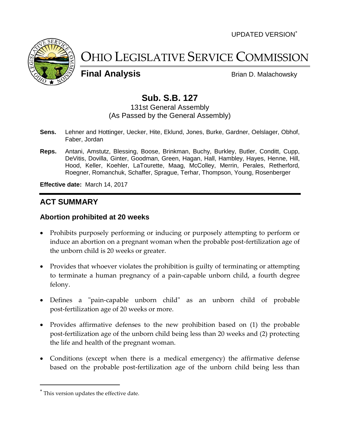UPDATED VERSION



OHIO LEGISLATIVE SERVICE COMMISSION

**Final Analysis** Brian D. Malachowsky

# **Sub. S.B. 127**

131st General Assembly (As Passed by the General Assembly)

- **Sens.** Lehner and Hottinger, Uecker, Hite, Eklund, Jones, Burke, Gardner, Oelslager, Obhof, Faber, Jordan
- **Reps.** Antani, Amstutz, Blessing, Boose, Brinkman, Buchy, Burkley, Butler, Conditt, Cupp, DeVitis, Dovilla, Ginter, Goodman, Green, Hagan, Hall, Hambley, Hayes, Henne, Hill, Hood, Keller, Koehler, LaTourette, Maag, McColley, Merrin, Perales, Retherford, Roegner, Romanchuk, Schaffer, Sprague, Terhar, Thompson, Young, Rosenberger

**Effective date:** March 14, 2017

## **ACT SUMMARY**

#### **Abortion prohibited at 20 weeks**

- Prohibits purposely performing or inducing or purposely attempting to perform or induce an abortion on a pregnant woman when the probable post-fertilization age of the unborn child is 20 weeks or greater.
- Provides that whoever violates the prohibition is guilty of terminating or attempting to terminate a human pregnancy of a pain-capable unborn child, a fourth degree felony.
- Defines a "pain-capable unborn child" as an unborn child of probable post-fertilization age of 20 weeks or more.
- Provides affirmative defenses to the new prohibition based on (1) the probable post-fertilization age of the unborn child being less than 20 weeks and (2) protecting the life and health of the pregnant woman.
- Conditions (except when there is a medical emergency) the affirmative defense based on the probable post-fertilization age of the unborn child being less than

This version updates the effective date.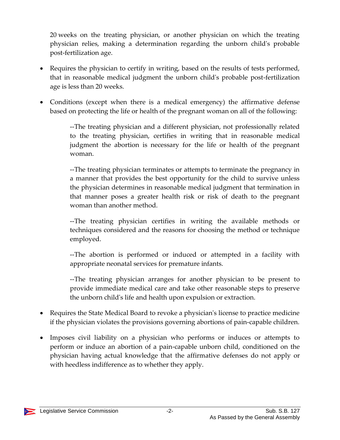20 weeks on the treating physician, or another physician on which the treating physician relies, making a determination regarding the unborn child's probable post-fertilization age.

- Requires the physician to certify in writing, based on the results of tests performed, that in reasonable medical judgment the unborn child's probable post-fertilization age is less than 20 weeks.
- Conditions (except when there is a medical emergency) the affirmative defense based on protecting the life or health of the pregnant woman on all of the following:

--The treating physician and a different physician, not professionally related to the treating physician, certifies in writing that in reasonable medical judgment the abortion is necessary for the life or health of the pregnant woman.

--The treating physician terminates or attempts to terminate the pregnancy in a manner that provides the best opportunity for the child to survive unless the physician determines in reasonable medical judgment that termination in that manner poses a greater health risk or risk of death to the pregnant woman than another method.

--The treating physician certifies in writing the available methods or techniques considered and the reasons for choosing the method or technique employed.

--The abortion is performed or induced or attempted in a facility with appropriate neonatal services for premature infants.

--The treating physician arranges for another physician to be present to provide immediate medical care and take other reasonable steps to preserve the unborn child's life and health upon expulsion or extraction.

- Requires the State Medical Board to revoke a physician's license to practice medicine if the physician violates the provisions governing abortions of pain-capable children.
- Imposes civil liability on a physician who performs or induces or attempts to perform or induce an abortion of a pain-capable unborn child, conditioned on the physician having actual knowledge that the affirmative defenses do not apply or with heedless indifference as to whether they apply.

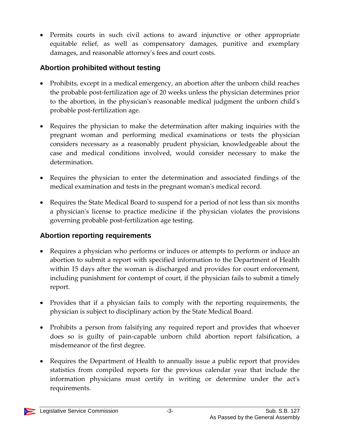Permits courts in such civil actions to award injunctive or other appropriate equitable relief, as well as compensatory damages, punitive and exemplary damages, and reasonable attorney's fees and court costs.

## **Abortion prohibited without testing**

- Prohibits, except in a medical emergency, an abortion after the unborn child reaches the probable post-fertilization age of 20 weeks unless the physician determines prior to the abortion, in the physician's reasonable medical judgment the unborn child's probable post-fertilization age.
- Requires the physician to make the determination after making inquiries with the pregnant woman and performing medical examinations or tests the physician considers necessary as a reasonably prudent physician, knowledgeable about the case and medical conditions involved, would consider necessary to make the determination.
- Requires the physician to enter the determination and associated findings of the medical examination and tests in the pregnant woman's medical record.
- Requires the State Medical Board to suspend for a period of not less than six months a physician's license to practice medicine if the physician violates the provisions governing probable post-fertilization age testing.

## **Abortion reporting requirements**

- Requires a physician who performs or induces or attempts to perform or induce an abortion to submit a report with specified information to the Department of Health within 15 days after the woman is discharged and provides for court enforcement, including punishment for contempt of court, if the physician fails to submit a timely report.
- Provides that if a physician fails to comply with the reporting requirements, the physician is subject to disciplinary action by the State Medical Board.
- Prohibits a person from falsifying any required report and provides that whoever does so is guilty of pain-capable unborn child abortion report falsification, a misdemeanor of the first degree.
- Requires the Department of Health to annually issue a public report that provides statistics from compiled reports for the previous calendar year that include the information physicians must certify in writing or determine under the act's requirements.

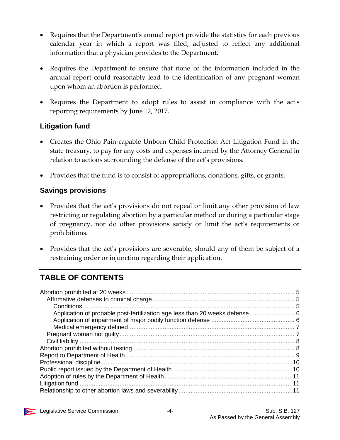- Requires that the Department's annual report provide the statistics for each previous calendar year in which a report was filed, adjusted to reflect any additional information that a physician provides to the Department.
- Requires the Department to ensure that none of the information included in the annual report could reasonably lead to the identification of any pregnant woman upon whom an abortion is performed.
- Requires the Department to adopt rules to assist in compliance with the act's reporting requirements by June 12, 2017.

### **Litigation fund**

- Creates the Ohio Pain-capable Unborn Child Protection Act Litigation Fund in the state treasury, to pay for any costs and expenses incurred by the Attorney General in relation to actions surrounding the defense of the act's provisions.
- Provides that the fund is to consist of appropriations, donations, gifts, or grants.

#### **Savings provisions**

- Provides that the act's provisions do not repeal or limit any other provision of law restricting or regulating abortion by a particular method or during a particular stage of pregnancy, nor do other provisions satisfy or limit the act's requirements or prohibitions.
- Provides that the act's provisions are severable, should any of them be subject of a restraining order or injunction regarding their application.

## **TABLE OF CONTENTS**

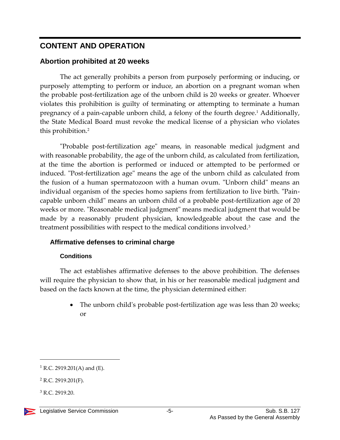## **CONTENT AND OPERATION**

#### <span id="page-4-0"></span>**Abortion prohibited at 20 weeks**

The act generally prohibits a person from purposely performing or inducing, or purposely attempting to perform or induce, an abortion on a pregnant woman when the probable post-fertilization age of the unborn child is 20 weeks or greater. Whoever violates this prohibition is guilty of terminating or attempting to terminate a human pregnancy of a pain-capable unborn child, a felony of the fourth degree.<sup>1</sup> Additionally, the State Medical Board must revoke the medical license of a physician who violates this prohibition.<sup>2</sup>

"Probable post-fertilization age" means, in reasonable medical judgment and with reasonable probability, the age of the unborn child, as calculated from fertilization, at the time the abortion is performed or induced or attempted to be performed or induced. "Post-fertilization age" means the age of the unborn child as calculated from the fusion of a human spermatozoon with a human ovum. "Unborn child" means an individual organism of the species homo sapiens from fertilization to live birth. "Paincapable unborn child" means an unborn child of a probable post-fertilization age of 20 weeks or more. "Reasonable medical judgment" means medical judgment that would be made by a reasonably prudent physician, knowledgeable about the case and the treatment possibilities with respect to the medical conditions involved.<sup>3</sup>

#### <span id="page-4-1"></span>**Affirmative defenses to criminal charge**

#### **Conditions**

<span id="page-4-2"></span>The act establishes affirmative defenses to the above prohibition. The defenses will require the physician to show that, in his or her reasonable medical judgment and based on the facts known at the time, the physician determined either:

> • The unborn child's probable post-fertilization age was less than 20 weeks; or

 $1$  R.C. 2919.201(A) and (E).

 $2$  R.C. 2919.201(F).

<sup>3</sup> R.C. 2919.20.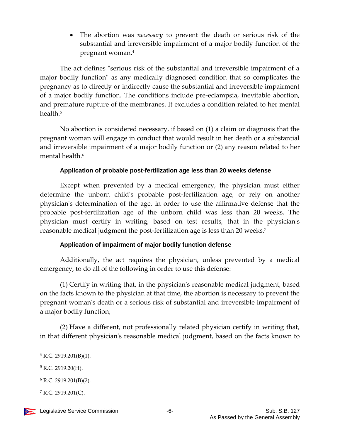The abortion was *necessary* to prevent the death or serious risk of the substantial and irreversible impairment of a major bodily function of the pregnant woman.<sup>4</sup>

The act defines "serious risk of the substantial and irreversible impairment of a major bodily function" as any medically diagnosed condition that so complicates the pregnancy as to directly or indirectly cause the substantial and irreversible impairment of a major bodily function. The conditions include pre-eclampsia, inevitable abortion, and premature rupture of the membranes. It excludes a condition related to her mental health<sup>5</sup>

No abortion is considered necessary, if based on (1) a claim or diagnosis that the pregnant woman will engage in conduct that would result in her death or a substantial and irreversible impairment of a major bodily function or (2) any reason related to her mental health.<sup>6</sup>

#### **Application of probable post-fertilization age less than 20 weeks defense**

<span id="page-5-0"></span>Except when prevented by a medical emergency, the physician must either determine the unborn child's probable post-fertilization age, or rely on another physician's determination of the age, in order to use the affirmative defense that the probable post-fertilization age of the unborn child was less than 20 weeks. The physician must certify in writing, based on test results, that in the physician's reasonable medical judgment the post-fertilization age is less than 20 weeks.<sup>7</sup>

#### **Application of impairment of major bodily function defense**

<span id="page-5-1"></span>Additionally, the act requires the physician, unless prevented by a medical emergency, to do all of the following in order to use this defense:

(1) Certify in writing that, in the physician's reasonable medical judgment, based on the facts known to the physician at that time, the abortion is necessary to prevent the pregnant woman's death or a serious risk of substantial and irreversible impairment of a major bodily function;

(2) Have a different, not professionally related physician certify in writing that, in that different physician's reasonable medical judgment, based on the facts known to

 $5$  R.C. 2919.20(H).

 $4$  R.C. 2919.201(B)(1).

 $6$  R.C. 2919.201(B)(2).

 $7$  R.C. 2919.201(C).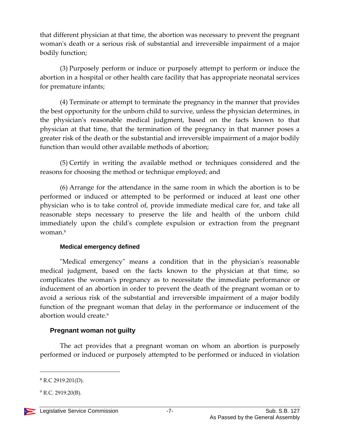that different physician at that time, the abortion was necessary to prevent the pregnant woman's death or a serious risk of substantial and irreversible impairment of a major bodily function;

(3) Purposely perform or induce or purposely attempt to perform or induce the abortion in a hospital or other health care facility that has appropriate neonatal services for premature infants;

(4) Terminate or attempt to terminate the pregnancy in the manner that provides the best opportunity for the unborn child to survive, unless the physician determines, in the physician's reasonable medical judgment, based on the facts known to that physician at that time, that the termination of the pregnancy in that manner poses a greater risk of the death or the substantial and irreversible impairment of a major bodily function than would other available methods of abortion;

(5) Certify in writing the available method or techniques considered and the reasons for choosing the method or technique employed; and

(6) Arrange for the attendance in the same room in which the abortion is to be performed or induced or attempted to be performed or induced at least one other physician who is to take control of, provide immediate medical care for, and take all reasonable steps necessary to preserve the life and health of the unborn child immediately upon the child's complete expulsion or extraction from the pregnant woman.<sup>8</sup>

#### **Medical emergency defined**

<span id="page-6-0"></span>"Medical emergency" means a condition that in the physician's reasonable medical judgment, based on the facts known to the physician at that time, so complicates the woman's pregnancy as to necessitate the immediate performance or inducement of an abortion in order to prevent the death of the pregnant woman or to avoid a serious risk of the substantial and irreversible impairment of a major bodily function of the pregnant woman that delay in the performance or inducement of the abortion would create.<sup>9</sup>

#### <span id="page-6-1"></span>**Pregnant woman not guilty**

The act provides that a pregnant woman on whom an abortion is purposely performed or induced or purposely attempted to be performed or induced in violation

<sup>8</sup> R.C 2919.201(D).

 $9$  R.C. 2919.20(B).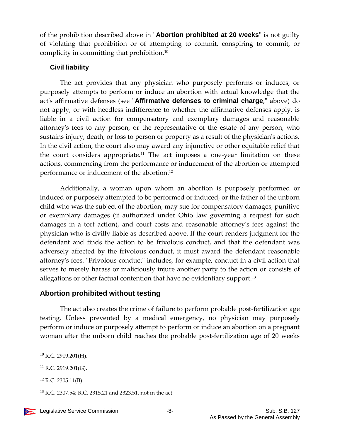of the prohibition described above in "**Abortion prohibited at 20 weeks**" is not guilty of violating that prohibition or of attempting to commit, conspiring to commit, or complicity in committing that prohibition.<sup>10</sup>

#### <span id="page-7-0"></span>**Civil liability**

The act provides that any physician who purposely performs or induces, or purposely attempts to perform or induce an abortion with actual knowledge that the act's affirmative defenses (see "**Affirmative defenses to criminal charge**," above) do not apply, or with heedless indifference to whether the affirmative defenses apply, is liable in a civil action for compensatory and exemplary damages and reasonable attorney's fees to any person, or the representative of the estate of any person, who sustains injury, death, or loss to person or property as a result of the physician's actions. In the civil action, the court also may award any injunctive or other equitable relief that the court considers appropriate.<sup>11</sup> The act imposes a one-year limitation on these actions, commencing from the performance or inducement of the abortion or attempted performance or inducement of the abortion.<sup>12</sup>

Additionally, a woman upon whom an abortion is purposely performed or induced or purposely attempted to be performed or induced, or the father of the unborn child who was the subject of the abortion, may sue for compensatory damages, punitive or exemplary damages (if authorized under Ohio law governing a request for such damages in a tort action), and court costs and reasonable attorney's fees against the physician who is civilly liable as described above. If the court renders judgment for the defendant and finds the action to be frivolous conduct, and that the defendant was adversely affected by the frivolous conduct, it must award the defendant reasonable attorney's fees. "Frivolous conduct" includes, for example, conduct in a civil action that serves to merely harass or maliciously injure another party to the action or consists of allegations or other factual contention that have no evidentiary support.<sup>13</sup>

#### <span id="page-7-1"></span>**Abortion prohibited without testing**

The act also creates the crime of failure to perform probable post-fertilization age testing. Unless prevented by a medical emergency, no physician may purposely perform or induce or purposely attempt to perform or induce an abortion on a pregnant woman after the unborn child reaches the probable post-fertilization age of 20 weeks

 $10$  R.C. 2919.201(H).

 $11$  R.C. 2919.201(G).

<sup>12</sup> R.C. 2305.11(B).

<sup>13</sup> R.C. 2307.54; R.C. 2315.21 and 2323.51, not in the act.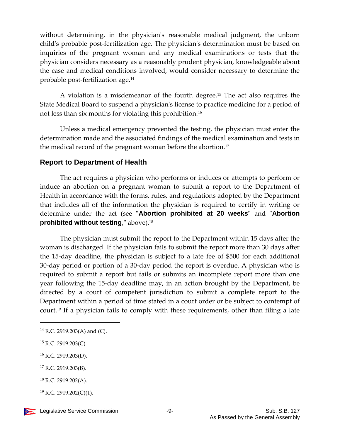without determining, in the physician's reasonable medical judgment, the unborn child's probable post-fertilization age. The physician's determination must be based on inquiries of the pregnant woman and any medical examinations or tests that the physician considers necessary as a reasonably prudent physician, knowledgeable about the case and medical conditions involved, would consider necessary to determine the probable post-fertilization age.<sup>14</sup>

A violation is a misdemeanor of the fourth degree.<sup>15</sup> The act also requires the State Medical Board to suspend a physician's license to practice medicine for a period of not less than six months for violating this prohibition.<sup>16</sup>

Unless a medical emergency prevented the testing, the physician must enter the determination made and the associated findings of the medical examination and tests in the medical record of the pregnant woman before the abortion.<sup>17</sup>

#### <span id="page-8-0"></span>**Report to Department of Health**

The act requires a physician who performs or induces or attempts to perform or induce an abortion on a pregnant woman to submit a report to the Department of Health in accordance with the forms, rules, and regulations adopted by the Department that includes all of the information the physician is required to certify in writing or determine under the act (see "**Abortion prohibited at 20 weeks"** and "**Abortion prohibited without testing**," above).<sup>18</sup>

The physician must submit the report to the Department within 15 days after the woman is discharged. If the physician fails to submit the report more than 30 days after the 15-day deadline, the physician is subject to a late fee of \$500 for each additional 30-day period or portion of a 30-day period the report is overdue. A physician who is required to submit a report but fails or submits an incomplete report more than one year following the 15-day deadline may, in an action brought by the Department, be directed by a court of competent jurisdiction to submit a complete report to the Department within a period of time stated in a court order or be subject to contempt of court.<sup>19</sup> If a physician fails to comply with these requirements, other than filing a late

l

<sup>17</sup> R.C. 2919.203(B).

 $^{19}$  R.C. 2919.202(C)(1).



 $14$  R.C. 2919.203(A) and (C).

<sup>15</sup> R.C. 2919.203(C).

<sup>16</sup> R.C. 2919.203(D).

<sup>18</sup> R.C. 2919.202(A).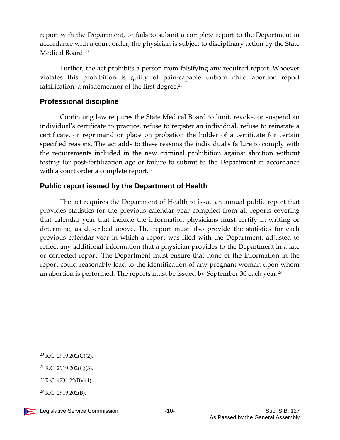report with the Department, or fails to submit a complete report to the Department in accordance with a court order, the physician is subject to disciplinary action by the State Medical Board.<sup>20</sup>

Further, the act prohibits a person from falsifying any required report. Whoever violates this prohibition is guilty of pain-capable unborn child abortion report falsification, a misdemeanor of the first degree. $21$ 

#### <span id="page-9-0"></span>**Professional discipline**

Continuing law requires the State Medical Board to limit, revoke, or suspend an individual's certificate to practice, refuse to register an individual, refuse to reinstate a certificate, or reprimand or place on probation the holder of a certificate for certain specified reasons. The act adds to these reasons the individual's failure to comply with the requirements included in the new criminal prohibition against abortion without testing for post-fertilization age or failure to submit to the Department in accordance with a court order a complete report.<sup>22</sup>

#### <span id="page-9-1"></span>**Public report issued by the Department of Health**

The act requires the Department of Health to issue an annual public report that provides statistics for the previous calendar year compiled from all reports covering that calendar year that include the information physicians must certify in writing or determine, as described above. The report must also provide the statistics for each previous calendar year in which a report was filed with the Department, adjusted to reflect any additional information that a physician provides to the Department in a late or corrected report. The Department must ensure that none of the information in the report could reasonably lead to the identification of any pregnant woman upon whom an abortion is performed. The reports must be issued by September 30 each year.<sup>23</sup>

<sup>20</sup> R.C. 2919.202(C)(2).

<sup>21</sup> R.C. 2919.202(C)(3).

<sup>22</sup> R.C. 4731.22(B)(44).

 $23$  R.C. 2919.202(B).